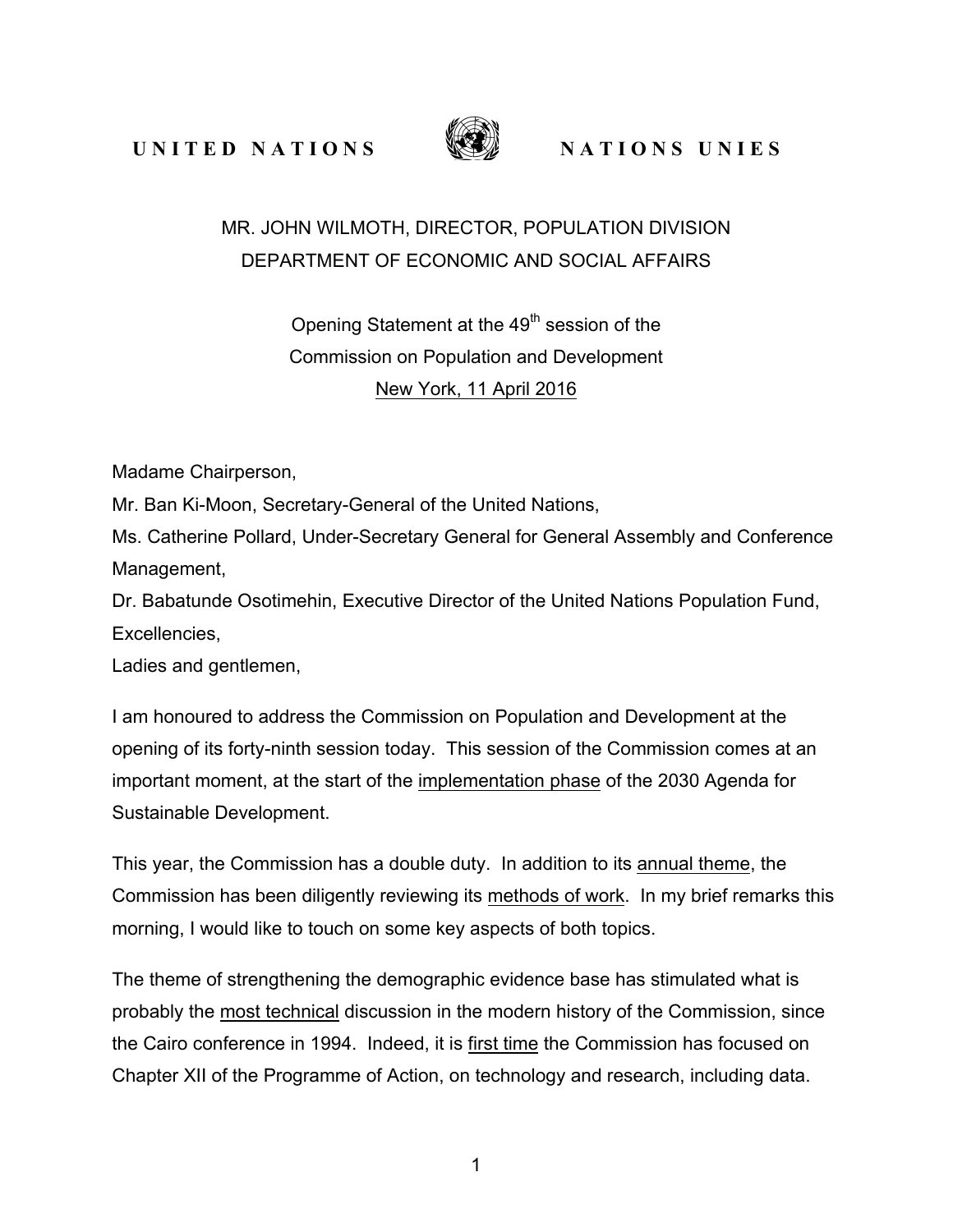**UNITED NATIONS** WE NATIONS UNIES



## MR. JOHN WILMOTH, DIRECTOR, POPULATION DIVISION DEPARTMENT OF ECONOMIC AND SOCIAL AFFAIRS

## Opening Statement at the 49<sup>th</sup> session of the Commission on Population and Development New York, 11 April 2016

Madame Chairperson,

Mr. Ban Ki-Moon, Secretary-General of the United Nations,

Ms. Catherine Pollard, Under-Secretary General for General Assembly and Conference Management,

Dr. Babatunde Osotimehin, Executive Director of the United Nations Population Fund, Excellencies,

Ladies and gentlemen,

I am honoured to address the Commission on Population and Development at the opening of its forty-ninth session today. This session of the Commission comes at an important moment, at the start of the implementation phase of the 2030 Agenda for Sustainable Development.

This year, the Commission has a double duty. In addition to its annual theme, the Commission has been diligently reviewing its methods of work. In my brief remarks this morning, I would like to touch on some key aspects of both topics.

The theme of strengthening the demographic evidence base has stimulated what is probably the most technical discussion in the modern history of the Commission, since the Cairo conference in 1994. Indeed, it is first time the Commission has focused on Chapter XII of the Programme of Action, on technology and research, including data.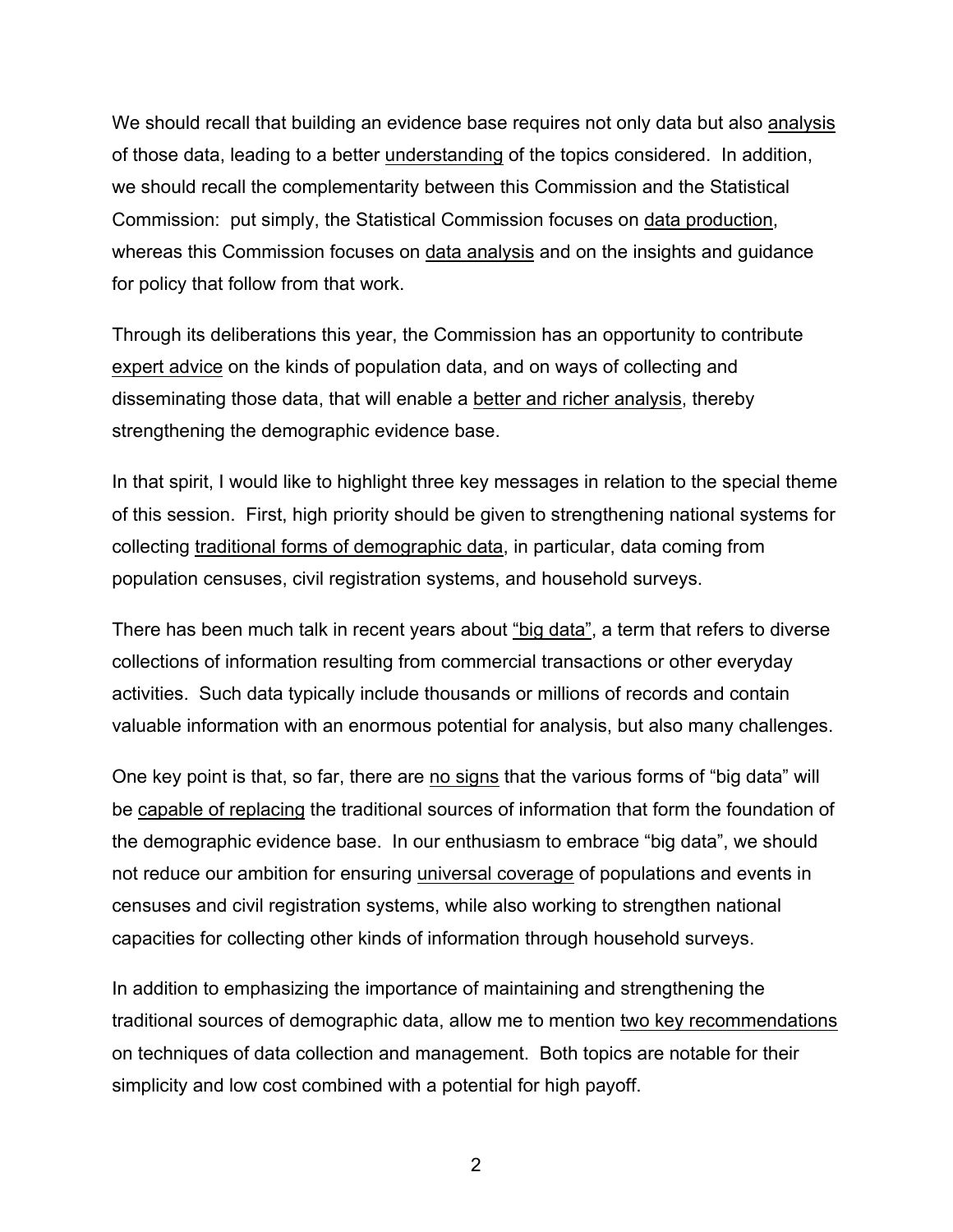We should recall that building an evidence base requires not only data but also analysis of those data, leading to a better understanding of the topics considered. In addition, we should recall the complementarity between this Commission and the Statistical Commission: put simply, the Statistical Commission focuses on data production, whereas this Commission focuses on data analysis and on the insights and guidance for policy that follow from that work.

Through its deliberations this year, the Commission has an opportunity to contribute expert advice on the kinds of population data, and on ways of collecting and disseminating those data, that will enable a better and richer analysis, thereby strengthening the demographic evidence base.

In that spirit, I would like to highlight three key messages in relation to the special theme of this session. First, high priority should be given to strengthening national systems for collecting traditional forms of demographic data, in particular, data coming from population censuses, civil registration systems, and household surveys.

There has been much talk in recent years about "big data", a term that refers to diverse collections of information resulting from commercial transactions or other everyday activities. Such data typically include thousands or millions of records and contain valuable information with an enormous potential for analysis, but also many challenges.

One key point is that, so far, there are no signs that the various forms of "big data" will be capable of replacing the traditional sources of information that form the foundation of the demographic evidence base. In our enthusiasm to embrace "big data", we should not reduce our ambition for ensuring universal coverage of populations and events in censuses and civil registration systems, while also working to strengthen national capacities for collecting other kinds of information through household surveys.

In addition to emphasizing the importance of maintaining and strengthening the traditional sources of demographic data, allow me to mention two key recommendations on techniques of data collection and management. Both topics are notable for their simplicity and low cost combined with a potential for high payoff.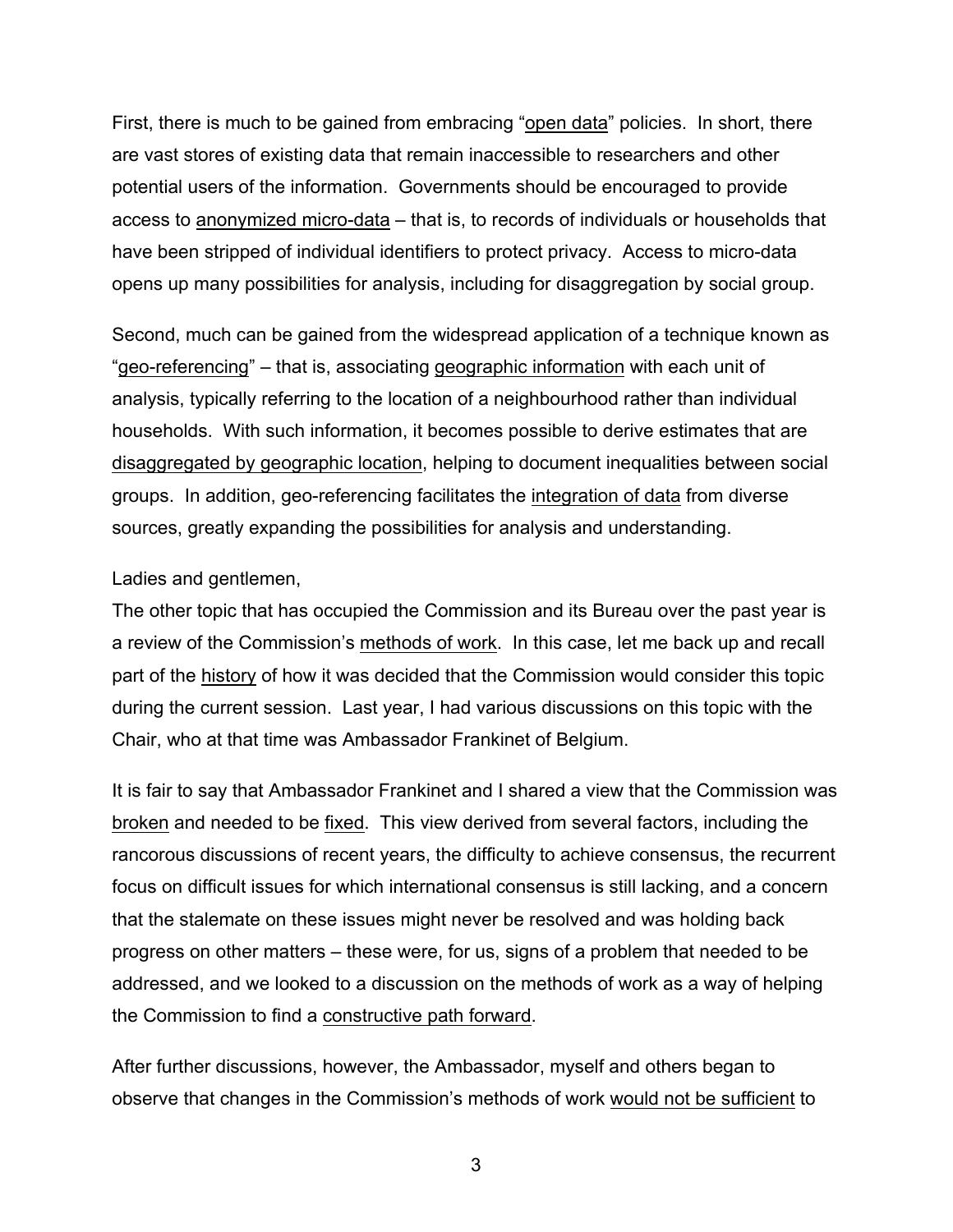First, there is much to be gained from embracing "open data" policies. In short, there are vast stores of existing data that remain inaccessible to researchers and other potential users of the information. Governments should be encouraged to provide access to anonymized micro-data – that is, to records of individuals or households that have been stripped of individual identifiers to protect privacy. Access to micro-data opens up many possibilities for analysis, including for disaggregation by social group.

Second, much can be gained from the widespread application of a technique known as "geo-referencing" – that is, associating geographic information with each unit of analysis, typically referring to the location of a neighbourhood rather than individual households. With such information, it becomes possible to derive estimates that are disaggregated by geographic location, helping to document inequalities between social groups. In addition, geo-referencing facilitates the integration of data from diverse sources, greatly expanding the possibilities for analysis and understanding.

Ladies and gentlemen,

The other topic that has occupied the Commission and its Bureau over the past year is a review of the Commission's methods of work. In this case, let me back up and recall part of the history of how it was decided that the Commission would consider this topic during the current session. Last year, I had various discussions on this topic with the Chair, who at that time was Ambassador Frankinet of Belgium.

It is fair to say that Ambassador Frankinet and I shared a view that the Commission was broken and needed to be fixed. This view derived from several factors, including the rancorous discussions of recent years, the difficulty to achieve consensus, the recurrent focus on difficult issues for which international consensus is still lacking, and a concern that the stalemate on these issues might never be resolved and was holding back progress on other matters – these were, for us, signs of a problem that needed to be addressed, and we looked to a discussion on the methods of work as a way of helping the Commission to find a constructive path forward.

After further discussions, however, the Ambassador, myself and others began to observe that changes in the Commission's methods of work would not be sufficient to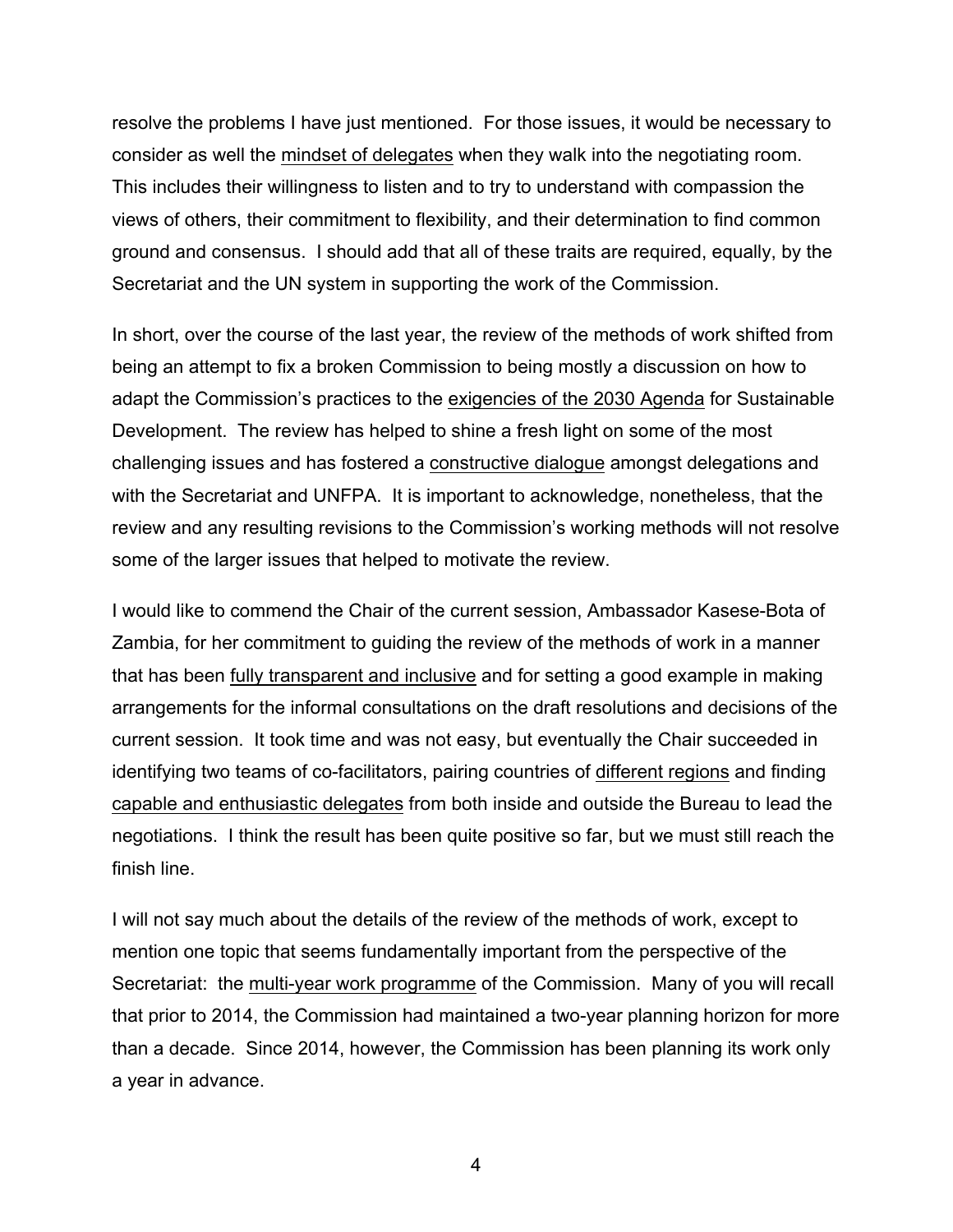resolve the problems I have just mentioned. For those issues, it would be necessary to consider as well the mindset of delegates when they walk into the negotiating room. This includes their willingness to listen and to try to understand with compassion the views of others, their commitment to flexibility, and their determination to find common ground and consensus. I should add that all of these traits are required, equally, by the Secretariat and the UN system in supporting the work of the Commission.

In short, over the course of the last year, the review of the methods of work shifted from being an attempt to fix a broken Commission to being mostly a discussion on how to adapt the Commission's practices to the exigencies of the 2030 Agenda for Sustainable Development. The review has helped to shine a fresh light on some of the most challenging issues and has fostered a constructive dialogue amongst delegations and with the Secretariat and UNFPA. It is important to acknowledge, nonetheless, that the review and any resulting revisions to the Commission's working methods will not resolve some of the larger issues that helped to motivate the review.

I would like to commend the Chair of the current session, Ambassador Kasese-Bota of Zambia, for her commitment to guiding the review of the methods of work in a manner that has been fully transparent and inclusive and for setting a good example in making arrangements for the informal consultations on the draft resolutions and decisions of the current session. It took time and was not easy, but eventually the Chair succeeded in identifying two teams of co-facilitators, pairing countries of different regions and finding capable and enthusiastic delegates from both inside and outside the Bureau to lead the negotiations. I think the result has been quite positive so far, but we must still reach the finish line.

I will not say much about the details of the review of the methods of work, except to mention one topic that seems fundamentally important from the perspective of the Secretariat: the multi-year work programme of the Commission. Many of you will recall that prior to 2014, the Commission had maintained a two-year planning horizon for more than a decade. Since 2014, however, the Commission has been planning its work only a year in advance.